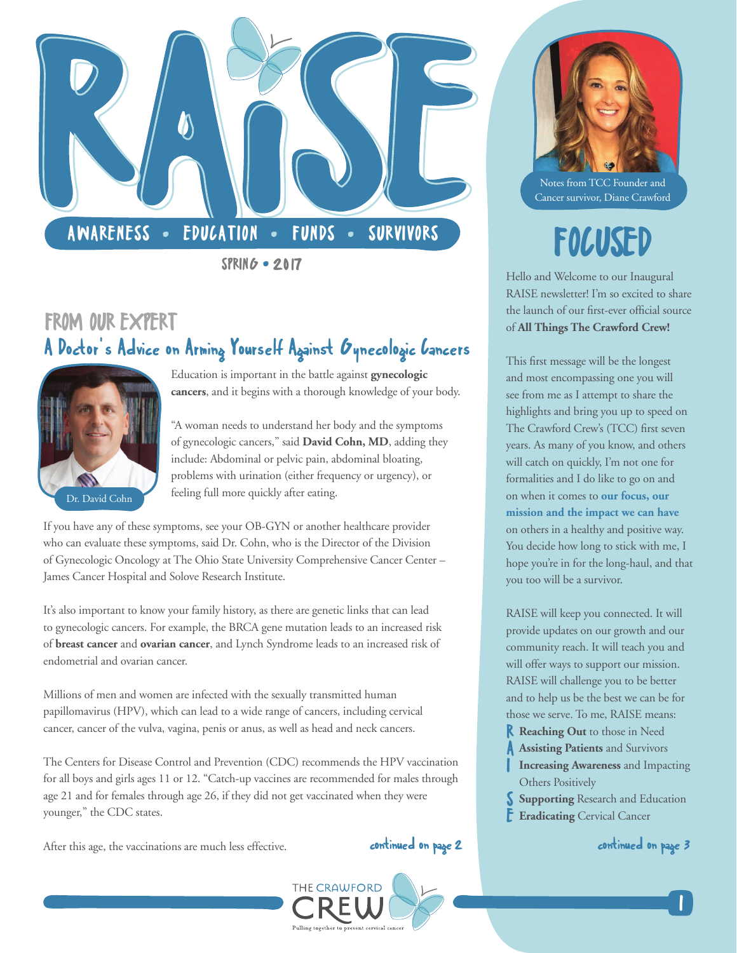

**SPRING • 2017** 

# FROM OUR EXPERT A Doctor's Advice on Arming Yourself Against Gynecologic Cancers



Education is important in the battle against **[gynecologic](https://cancer.osu.edu/cancer-specialties/cancer-care-and-treatment/gynecologic-cancers)  [cancers](https://cancer.osu.edu/cancer-specialties/cancer-care-and-treatment/gynecologic-cancers)**, and it begins with a thorough knowledge of your body.

"A woman needs to understand her body and the symptoms of gynecologic cancers," said **[David Cohn, MD](https://cancer.osu.edu/find-a-doctor/search-physician-directory/david-e-cohn)**, adding they include: Abdominal or pelvic pain, abdominal bloating, problems with urination (either frequency or urgency), or feeling full more quickly after eating.

If you have any of these symptoms, see your OB-GYN or another healthcare provider who can evaluate these symptoms, said Dr. Cohn, who is the Director of the Division of Gynecologic Oncology at [The Ohio State University Comprehensive Cancer Center –](https://cancer.osu.edu/)  [James Cancer Hospital and Solove Research Institute.](https://cancer.osu.edu/)

It's also important to know your family history, as there are genetic links that can lead to gynecologic cancers. For example, the BRCA gene mutation leads to an increased risk of **[breast cancer](https://cancer.osu.edu/cancer-specialties/cancer-care-and-treatment/breast-cancer)** and **[ovarian cancer](https://cancer.osu.edu/cancer-specialties/cancer-care-and-treatment/ovarian-cancer)**, and Lynch Syndrome leads to an increased risk of endometrial and ovarian cancer.

Millions of men and women are infected with the sexually transmitted [human](https://www.cdc.gov/hpv/)  [papillomavirus \(HPV\),](https://www.cdc.gov/hpv/) which can lead to a wide range of cancers, including cervical cancer, cancer of the vulva, vagina, penis or anus, as well as head and neck cancers.

The Centers for Disease Control and Prevention (CDC) recommends the HPV vaccination for all boys and girls ages 11 or 12. "Catch-up vaccines are recommended for males through age 21 and for females through age 26, if they did not get vaccinated when they were younger," the CDC states.

After this age, the vaccinations are much less effective.

### continued on page 2 continued on page 3



Notes from TCC Founder and Cancer survivor, Diane Crawford

# FOCUSED

Hello and Welcome to our Inaugural RAISE newsletter! I'm so excited to share the launch of our first-ever official source of **All Things The Crawford Crew!** 

This first message will be the longest and most encompassing one you will see from me as I attempt to share the highlights and bring you up to speed on The Crawford Crew's (TCC) first seven years. As many of you know, and others will catch on quickly, I'm not one for formalities and I do like to go on and on when it comes to **[our focus, our](http://thecrawfordcrew.org/about-cervical-cancer-prevention/)  [mission and the impact we can have](http://thecrawfordcrew.org/about-cervical-cancer-prevention/)** on others in a healthy and positive way. You decide how long to stick with me, I hope you're in for the long-haul, and that you too will be a survivor.

RAISE will keep you connected. It will provide updates on our growth and our community reach. It will teach you and will offer ways to support our mission. RAISE will challenge you to be better and to help us be the best we can be for those we serve. To me, RAISE means:

- R **Reaching Out** to those in Need
- A **Assisting Patients** and Survivors
- **Increasing Awareness** and Impacting Others Positively
- **Supporting** Research and Education
- **Eradicating** Cervical Cancer

|<br>|<br>|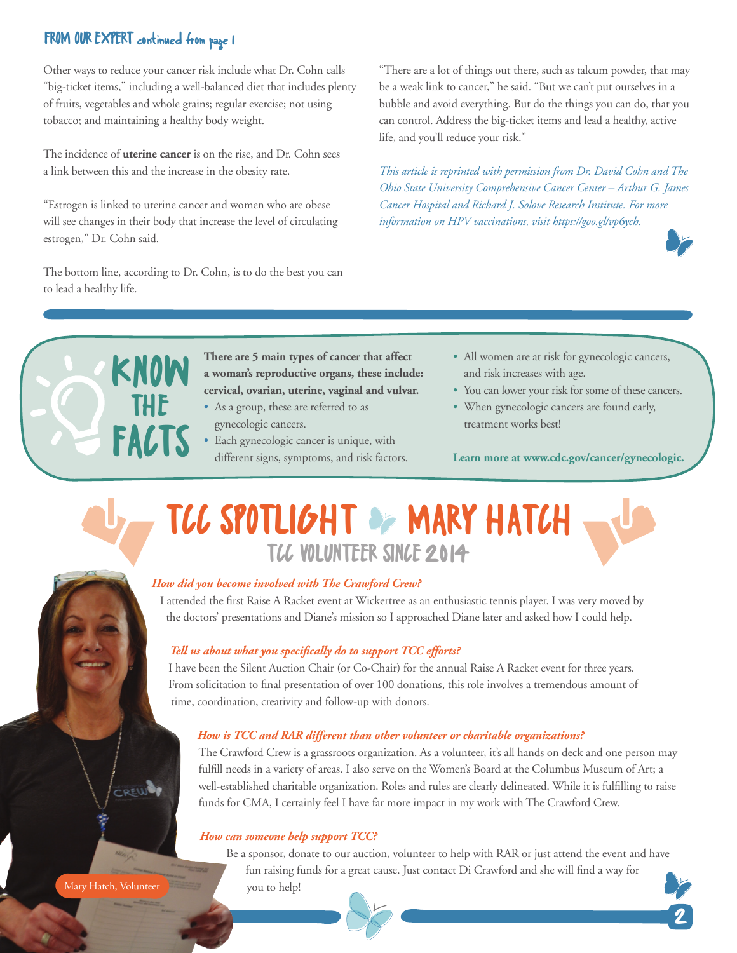### FROM OUR EXPERT continued from page 1

Other ways to reduce your cancer risk include what Dr. Cohn calls "big-ticket items," including a well-balanced diet that includes plenty of fruits, vegetables and whole grains; regular exercise; not using tobacco; and maintaining a healthy body weight.

The incidence of **[uterine cancer](https://cancer.osu.edu/cancer-specialties/cancer-care-and-treatment/endometrial-cancer)** is on the rise, and Dr. Cohn sees a link between this and the increase in the obesity rate.

"Estrogen is linked to uterine cancer and women who are obese will see changes in their body that increase the level of circulating estrogen," Dr. Cohn said.

The bottom line, according to Dr. Cohn, is to do the best you can to lead a healthy life.

THE

FACTS

"There are a lot of things out there, such as talcum powder, that may be a weak link to cancer," he said. "But we can't put ourselves in a bubble and avoid everything. But do the things you can do, that you can control. Address the big-ticket items and lead a healthy, active life, and you'll reduce your risk."

*This article is reprinted with permission from Dr. David Cohn and The Ohio State University Comprehensive Cancer Center – Arthur G. James Cancer Hospital and Richard J. Solove Research Institute[. For more](https://cancer.osu.edu/news-and-media/news/ohio-state-joins-nations-cancer-centers-in-endorsement-of-hpv-vaccination-for-cancer-prevention)  [information on HPV vaccinations, visit https://goo.gl/vp6ych.](https://cancer.osu.edu/news-and-media/news/ohio-state-joins-nations-cancer-centers-in-endorsement-of-hpv-vaccination-for-cancer-prevention)*



2

**There are 5 main types of cancer that affect a woman's reproductive organs, these include: cervical, ovarian, uterine, vaginal and vulvar. KNOW** 

- As a group, these are referred to as gynecologic cancers.
- Each gynecologic cancer is unique, with different signs, symptoms, and risk factors.
- All women are at risk for gynecologic cancers, and risk increases with age.
- You can lower your risk for some of these cancers.
- When gynecologic cancers are found early, treatment works best!

**[Learn more at www.cdc.gov/cancer/gynecologic.](https://www.cdc.gov/cancer/gynecologic/)**

# TCC SPOTLIGHT OF MARY HATCH TCC VOLUNTEER SINCE 2014

#### *How did you become involved with The Crawford Crew?*

I attended the first [Raise A Racket](http://thecrawfordcrew.org/event/raise-a-racket/) event at Wickertree as an enthusiastic tennis player. I was very moved by the doctors' presentations and Diane's mission so I approached Diane later and asked how I could help.

#### *Tell us about what you specifically do to support TCC efforts?*

I have been the Silent Auction Chair (or Co-Chair) for the annual Raise A Racket event for three years. From solicitation to final presentation of over 100 donations, this role involves a tremendous amount of time, coordination, creativity and follow-up with donors.

#### *How is TCC and RAR different than other volunteer or charitable organizations?*

The Crawford Crew is a grassroots organization. As a volunteer, it's all hands on deck and one person may fulfill needs in a variety of areas. I also serve on the Women's Board at the Columbus Museum of Art; a well-established charitable organization. Roles and rules are clearly delineated. While it is fulfilling to raise funds for CMA, I certainly feel I have far more impact in my work with The Crawford Crew.

#### *How can someone help support TCC?*

[Be a sponsor, donate to our auction, volunteer to help with RAR o](http://thecrawfordcrew.org/about-cervical-cancer-prevention/join-us/)r just attend the event and have fun raising funds for a great cause. [Just contact Di Crawford](mailto:di@thecrawfordcrew.org) and she will find a way for you to help!

CREW

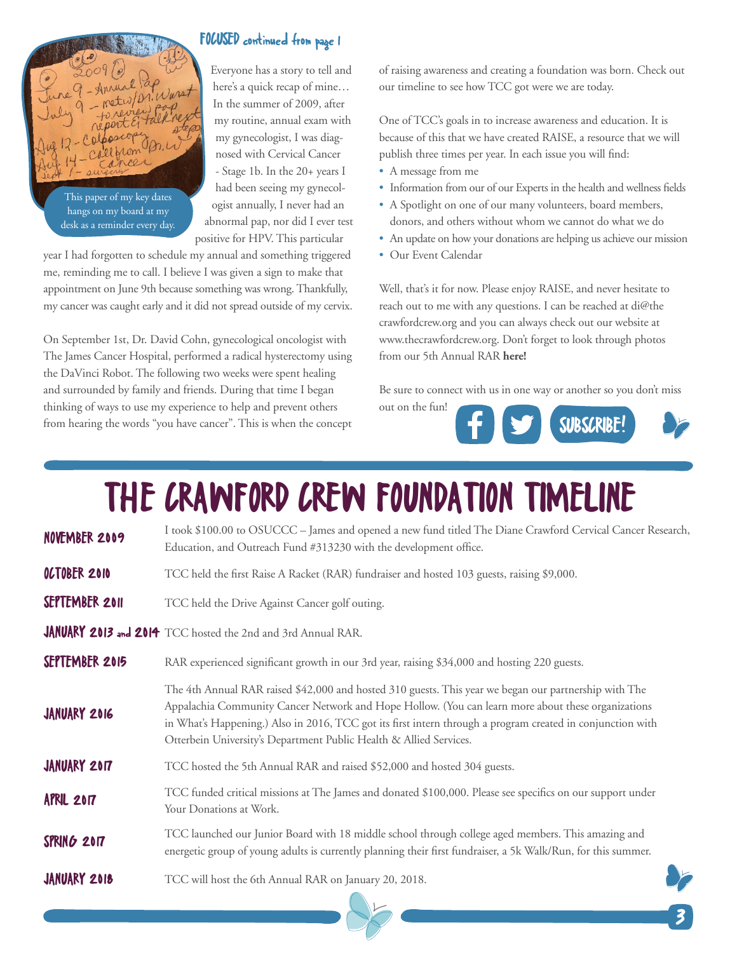

This paper of my key dates hangs on my board at my desk as a reminder every day.

### FOCUSED continued from page 1

Everyone has a story to tell and here's a quick recap of mine… In the summer of 2009, after my routine, annual exam with my gynecologist, I was diagnosed with Cervical Cancer - Stage 1b. In the 20+ years I had been seeing my gynecologist annually, I never had an abnormal pap, nor did I ever test positive for HPV. This particular

year I had forgotten to schedule my annual and something triggered me, reminding me to call. I believe I was given a sign to make that appointment on June 9th because something was wrong. Thankfully, my cancer was caught early and it did not spread outside of my cervix.

On September 1st, Dr. David Cohn, gynecological oncologist with The James Cancer Hospital, performed a radical hysterectomy using the DaVinci Robot. The following two weeks were spent healing and surrounded by family and friends. During that time I began thinking of ways to use my experience to help and prevent others from hearing the words "you have cancer". This is when the concept

of raising awareness and creating a foundation was born. Check out our timeline to see how TCC got were we are today.

One of TCC's goals in to increase awareness and education. It is because of this that we have created RAISE, a resource that we will publish three times per year. In each issue you will find:

- A message from me
- Information from our of our Experts in the health and wellness fields
- A Spotlight on one of our many volunteers, board members, donors, and others without whom we cannot do what we do
- An update on how your donations are helping us achieve our mission
- Our Event Calendar

Well, that's it for now. Please enjoy RAISE, and never hesitate to reach out to me with any questions. I can be reached at di@the crawfordcrew.org and you can always check out our website at www.thecrawfordcrew.org. [Don't forget to look through photos](https://www.flickr.com/photos/151170316@N07/sets/72157675779853573/)  [from our 5th Annual RAR](https://www.flickr.com/photos/151170316@N07/sets/72157675779853573/) **here!**

Be sure to connect with us in one way or another so you don't miss



# THE CRAWFORD CREW FOUNDATION TIMELINE

| NOVEMBER 2009       | I took \$100.00 to OSUCCC - James and opened a new fund titled The Diane Crawford Cervical Cancer Research,<br>Education, and Outreach Fund #313230 with the development office.                                                                                                                                                                                                                |
|---------------------|-------------------------------------------------------------------------------------------------------------------------------------------------------------------------------------------------------------------------------------------------------------------------------------------------------------------------------------------------------------------------------------------------|
| OCTOBER 2010        | TCC held the first Raise A Racket (RAR) fundraiser and hosted 103 guests, raising \$9,000.                                                                                                                                                                                                                                                                                                      |
| SEPTEMBER 2011      | TCC held the Drive Against Cancer golf outing.                                                                                                                                                                                                                                                                                                                                                  |
|                     | JANUARY 2013 and 2014 TCC hosted the 2nd and 3rd Annual RAR.                                                                                                                                                                                                                                                                                                                                    |
| SEPTEMBER 2015      | RAR experienced significant growth in our 3rd year, raising \$34,000 and hosting 220 guests.                                                                                                                                                                                                                                                                                                    |
| JANUARY 2016        | The 4th Annual RAR raised \$42,000 and hosted 310 guests. This year we began our partnership with The<br>Appalachia Community Cancer Network and Hope Hollow. (You can learn more about these organizations<br>in What's Happening.) Also in 2016, TCC got its first intern through a program created in conjunction with<br>Otterbein University's Department Public Health & Allied Services. |
| <b>JANUARY 2017</b> | TCC hosted the 5th Annual RAR and raised \$52,000 and hosted 304 guests.                                                                                                                                                                                                                                                                                                                        |
| <b>APRIL 2017</b>   | TCC funded critical missions at The James and donated \$100,000. Please see specifics on our support under<br>Your Donations at Work.                                                                                                                                                                                                                                                           |
| SPRING 2017         | TCC launched our Junior Board with 18 middle school through college aged members. This amazing and<br>energetic group of young adults is currently planning their first fundraiser, a 5k Walk/Run, for this summer.                                                                                                                                                                             |
| JANUARY 2018        | TCC will host the 6th Annual RAR on January 20, 2018.                                                                                                                                                                                                                                                                                                                                           |